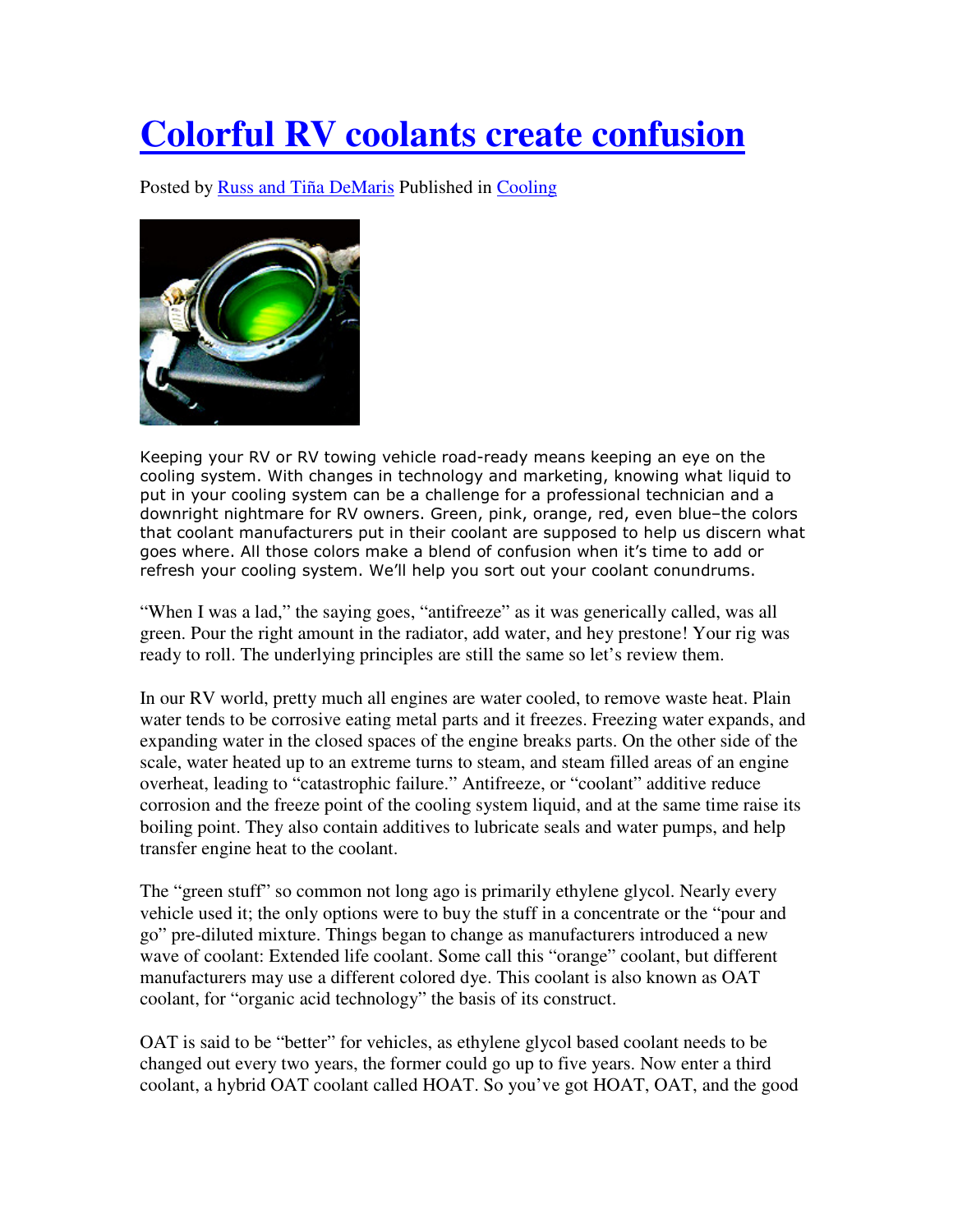## **Colorful RV coolants create confusion**

Posted by Russ and Tiña DeMaris Published in Cooling



Keeping your RV or RV towing vehicle road-ready means keeping an eye on the cooling system. With changes in technology and marketing, knowing what liquid to put in your cooling system can be a challenge for a professional technician and a downright nightmare for RV owners. Green, pink, orange, red, even blue–the colors that coolant manufacturers put in their coolant are supposed to help us discern what goes where. All those colors make a blend of confusion when it's time to add or refresh your cooling system. We'll help you sort out your coolant conundrums.

"When I was a lad," the saying goes, "antifreeze" as it was generically called, was all green. Pour the right amount in the radiator, add water, and hey prestone! Your rig was ready to roll. The underlying principles are still the same so let's review them.

In our RV world, pretty much all engines are water cooled, to remove waste heat. Plain water tends to be corrosive eating metal parts and it freezes. Freezing water expands, and expanding water in the closed spaces of the engine breaks parts. On the other side of the scale, water heated up to an extreme turns to steam, and steam filled areas of an engine overheat, leading to "catastrophic failure." Antifreeze, or "coolant" additive reduce corrosion and the freeze point of the cooling system liquid, and at the same time raise its boiling point. They also contain additives to lubricate seals and water pumps, and help transfer engine heat to the coolant.

The "green stuff" so common not long ago is primarily ethylene glycol. Nearly every vehicle used it; the only options were to buy the stuff in a concentrate or the "pour and go" pre-diluted mixture. Things began to change as manufacturers introduced a new wave of coolant: Extended life coolant. Some call this "orange" coolant, but different manufacturers may use a different colored dye. This coolant is also known as OAT coolant, for "organic acid technology" the basis of its construct.

OAT is said to be "better" for vehicles, as ethylene glycol based coolant needs to be changed out every two years, the former could go up to five years. Now enter a third coolant, a hybrid OAT coolant called HOAT. So you've got HOAT, OAT, and the good